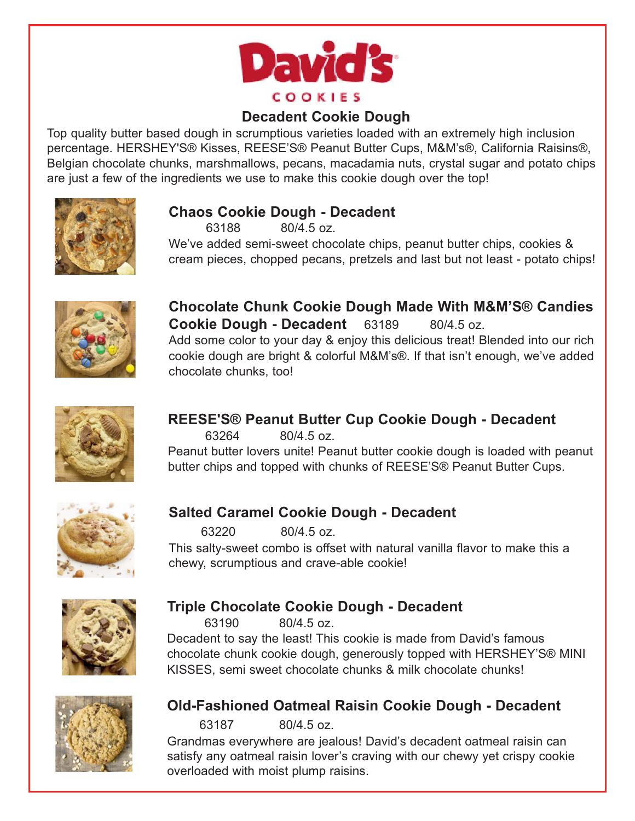

### **Decadent Cookie Dough**

Top quality butter based dough in scrumptious varieties loaded with an extremely high inclusion percentage. HERSHEY'S® Kisses, REESE'S® Peanut Butter Cups, M&M's®, California Raisins®, Belgian chocolate chunks, marshmallows, pecans, macadamia nuts, crystal sugar and potato chips are just a few of the ingredients we use to make this cookie dough over the top!



#### **Chaos Cookie Dough - Decadent**

63188 80/4.5 oz.

We've added semi-sweet chocolate chips, peanut butter chips, cookies & cream pieces, chopped pecans, pretzels and last but not least - potato chips!



**Chocolate Chunk Cookie Dough Made With M&M'S® Candies Cookie Dough - Decadent** 63189 80/4.5 oz. Add some color to your day & enjoy this delicious treat! Blended into our rich cookie dough are bright & colorful M&M's®. If that isn't enough, we've added chocolate chunks, too!



# **REESE'S® Peanut Butter Cup Cookie Dough - Decadent**

63264 80/4.5 oz.

Peanut butter lovers unite! Peanut butter cookie dough is loaded with peanut butter chips and topped with chunks of REESE'S® Peanut Butter Cups.



### **Salted Caramel Cookie Dough - Decadent**

63220 80/4.5 oz.

This salty-sweet combo is offset with natural vanilla flavor to make this a chewy, scrumptious and crave-able cookie!



### **Triple Chocolate Cookie Dough - Decadent**

63190 80/4.5 oz.

Decadent to say the least! This cookie is made from David's famous chocolate chunk cookie dough, generously topped with HERSHEY'S® MINI KISSES, semi sweet chocolate chunks & milk chocolate chunks!



### **Old-Fashioned Oatmeal Raisin Cookie Dough - Decadent**

63187 80/4.5 oz.

Grandmas everywhere are jealous! David's decadent oatmeal raisin can satisfy any oatmeal raisin lover's craving with our chewy yet crispy cookie overloaded with moist plump raisins.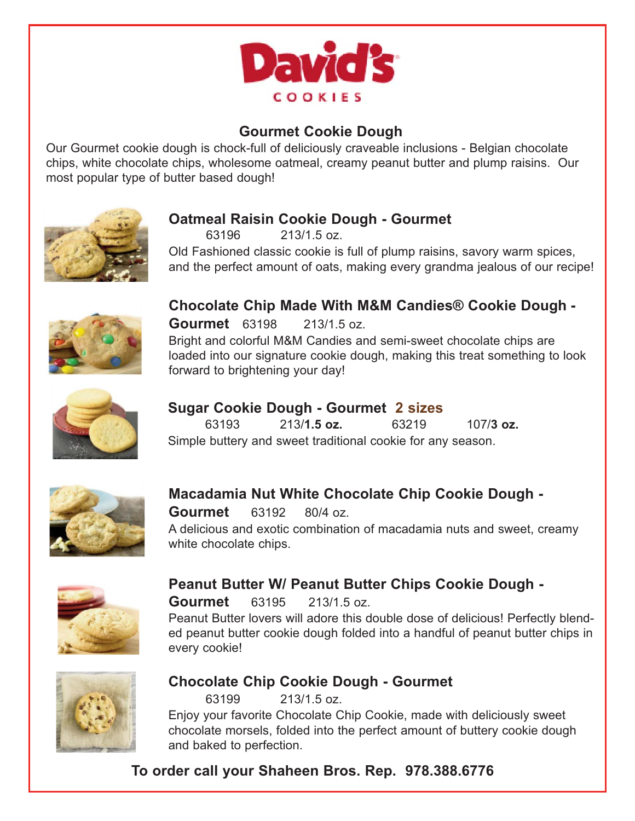

# **Gourmet Cookie Dough**

Our Gourmet cookie dough is chock-full of deliciously craveable inclusions - Belgian chocolate chips, white chocolate chips, wholesome oatmeal, creamy peanut butter and plump raisins. Our most popular type of butter based dough!



### **Oatmeal Raisin Cookie Dough - Gourmet**

63196 213/1.5 oz.

Old Fashioned classic cookie is full of plump raisins, savory warm spices, and the perfect amount of oats, making every grandma jealous of our recipe!



**Chocolate Chip Made With M&M Candies® Cookie Dough -** 

**Gourmet** 63198 213/1.5 oz. Bright and colorful M&M Candies and semi-sweet chocolate chips are loaded into our signature cookie dough, making this treat something to look forward to brightening your day!



### **Sugar Cookie Dough - Gourmet 2 sizes**

 63193 213/**1.5 oz.** 63219 107/**3 oz.** Simple buttery and sweet traditional cookie for any season.



### **Macadamia Nut White Chocolate Chip Cookie Dough -**

**Gourmet** 63192 80/4 oz.

A delicious and exotic combination of macadamia nuts and sweet, creamy white chocolate chips.



#### **Peanut Butter W/ Peanut Butter Chips Cookie Dough - Gourmet** 63195 213/1.5 oz.

Peanut Butter lovers will adore this double dose of delicious! Perfectly blended peanut butter cookie dough folded into a handful of peanut butter chips in every cookie!



#### **Chocolate Chip Cookie Dough - Gourmet**

63199 213/1.5 oz.

Enjoy your favorite Chocolate Chip Cookie, made with deliciously sweet chocolate morsels, folded into the perfect amount of buttery cookie dough and baked to perfection.

**To order call your Shaheen Bros. Rep. 978.388.6776**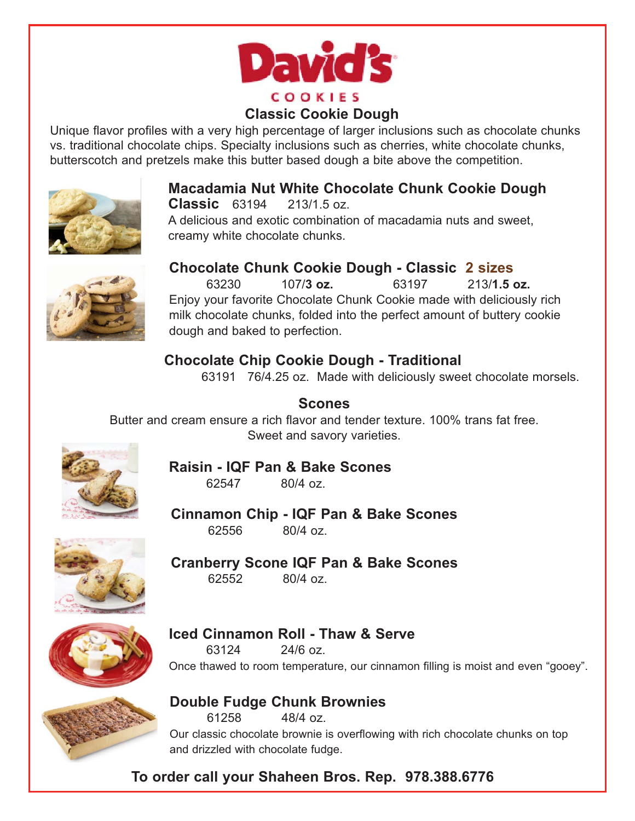

### **Classic Cookie Dough**

Unique flavor profiles with a very high percentage of larger inclusions such as chocolate chunks vs. traditional chocolate chips. Specialty inclusions such as cherries, white chocolate chunks, butterscotch and pretzels make this butter based dough a bite above the competition.



#### **Macadamia Nut White Chocolate Chunk Cookie Dough Classic** 63194 213/1.5 oz.

A delicious and exotic combination of macadamia nuts and sweet, creamy white chocolate chunks.



#### **Chocolate Chunk Cookie Dough - Classic 2 sizes**

 63230 107/**3 oz.** 63197 213/**1.5 oz.**  Enjoy your favorite Chocolate Chunk Cookie made with deliciously rich milk chocolate chunks, folded into the perfect amount of buttery cookie dough and baked to perfection.

# **Chocolate Chip Cookie Dough - Traditional**

63191 76/4.25 oz. Made with deliciously sweet chocolate morsels.

**Scones** Butter and cream ensure a rich flavor and tender texture. 100% trans fat free. Sweet and savory varieties.



#### **Raisin - IQF Pan & Bake Scones**  62547 80/4 oz.

**Cinnamon Chip - IQF Pan & Bake Scones** 62556 80/4 oz.



**Cranberry Scone IQF Pan & Bake Scones** 62552 80/4 oz.



### **Iced Cinnamon Roll - Thaw & Serve**

63124 24/6 oz. Once thawed to room temperature, our cinnamon filling is moist and even "gooey".



#### **Double Fudge Chunk Brownies**  61258 48/4 oz.

Our classic chocolate brownie is overflowing with rich chocolate chunks on top and drizzled with chocolate fudge.

**To order call your Shaheen Bros. Rep. 978.388.6776**